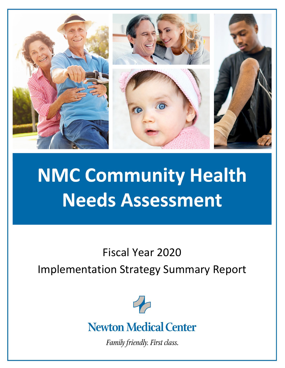

# **NMC Community Health Needs Assessment**

Fiscal Year 2020

Implementation Strategy Summary Report



# **Newton Medical Center**

Family friendly. First class.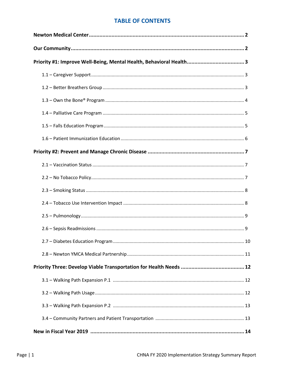# **TABLE OF CONTENTS**

| Priority #1: Improve Well-Being, Mental Health, Behavioral Health 3 |  |
|---------------------------------------------------------------------|--|
|                                                                     |  |
|                                                                     |  |
|                                                                     |  |
|                                                                     |  |
|                                                                     |  |
|                                                                     |  |
|                                                                     |  |
|                                                                     |  |
|                                                                     |  |
|                                                                     |  |
|                                                                     |  |
|                                                                     |  |
|                                                                     |  |
|                                                                     |  |
|                                                                     |  |
|                                                                     |  |
|                                                                     |  |
|                                                                     |  |
|                                                                     |  |
|                                                                     |  |
|                                                                     |  |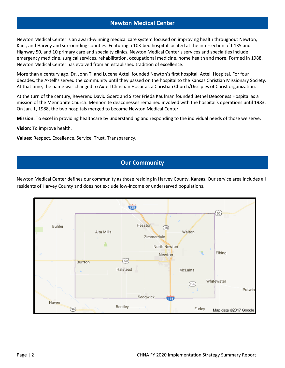# **Newton Medical Center**

Newton Medical Center is an award-winning medical care system focused on improving health throughout Newton, Kan., and Harvey and surrounding counties. Featuring a 103-bed hospital located at the intersection of I-135 and Highway 50, and 10 primary care and specialty clinics, Newton Medical Center's services and specialties include emergency medicine, surgical services, rehabilitation, occupational medicine, home health and more. Formed in 1988, Newton Medical Center has evolved from an established tradition of excellence.

More than a century ago, Dr. John T. and Lucena Axtell founded Newton's first hospital, Axtell Hospital. For four decades, the Axtell's served the community until they passed on the hospital to the Kansas Christian Missionary Society. At that time, the name was changed to Axtell Christian Hospital, a Christian Church/Disciples of Christ organization.

At the turn of the century, Reverend David Goerz and Sister Frieda Kaufman founded Bethel Deaconess Hospital as a mission of the Mennonite Church. Mennonite deaconesses remained involved with the hospital's operations until 1983. On Jan. 1, 1988, the two hospitals merged to become Newton Medical Center.

**Mission:** To excel in providing healthcare by understanding and responding to the individual needs of those we serve.

**Vision:** To improve health.

**Values:** Respect. Excellence. Service. Trust. Transparency.

# **Our Community**

Newton Medical Center defines our community as those residing in Harvey County, Kansas. Our service area includes all residents of Harvey County and does not exclude low-income or underserved populations.

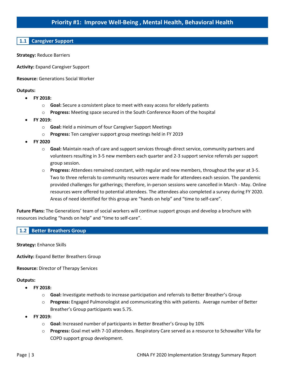# **Priority #1: Improve Well-Being , Mental Health, Behavioral Health**

# **1.1 Caregiver Support**

**Strategy:** Reduce Barriers

**Activity:** Expand Caregiver Support

**Resource:** Generations Social Worker

#### **Outputs:**

- **FY 2018:**
	- o **Goal:** Secure a consistent place to meet with easy access for elderly patients
	- o **Progress:** Meeting space secured in the South Conference Room of the hospital
- **FY 2019:**
	- o **Goal:** Held a minimum of four Caregiver Support Meetings
	- o **Progress:** Ten caregiver support group meetings held in FY 2019
- **FY 2020**
	- o **Goal:** Maintain reach of care and support services through direct service, community partners and volunteers resulting in 3-5 new members each quarter and 2-3 support service referrals per support group session.
	- o **Progress:** Attendees remained constant, with regular and new members, throughout the year at 3-5. Two to three referrals to community resources were made for attendees each session. The pandemic provided challenges for gatherings; therefore, in-person sessions were cancelled in March - May. Online resources were offered to potential attendees. The attendees also completed a survey during FY 2020. Areas of need identified for this group are "hands on help" and "time to self-care".

**Future Plans:** The Generations' team of social workers will continue support groups and develop a brochure with resources including "hands on help" and "time to self-care".

#### **1.2 Better Breathers Group**

**Strategy:** Enhance Skills

**Activity:** Expand Better Breathers Group

**Resource:** Director of Therapy Services

- **FY 2018:**
	- o **Goal:** Investigate methods to increase participation and referrals to Better Breather's Group
	- o **Progress:** Engaged Pulmonologist and communicating this with patients. Average number of Better Breather's Group participants was 5.75.
- **FY 2019:**
	- o **Goal:** Increased number of participants in Better Breather's Group by 10%
	- o **Progress:** Goal met with 7-10 attendees. Respiratory Care served as a resource to Schowalter Villa for COPD support group development.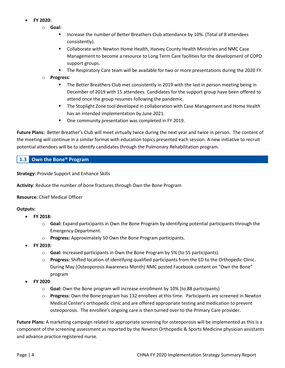- **FY 2020:**
	- o **Goal:** 
		- Increase the number of Better Breathers Club attendance by 10%. (Total of 8 attendees consistently).
		- Collaborate with Newton Home Health, Harvey County Health Ministries and NMC Case Management to become a resource to Long Term Care facilities for the development of COPD support groups.
		- **The Respiratory Care team will be available for two or more presentations during the 2020 FY.**

#### o **Progress:**

- The Better Breathers Club met consistently in 2019 with the last in person meeting being in December of 2019 with 15 attendees. Candidates for the support group have been offered to attend once the group resumes following the pandemic.
- **The Stoplight Zone tool developed in collaboration with Case Management and Home Health** has an intended implementation by June 2021.
- **One community presentation was completed in FY 2019.**

**Future Plans:** Better Breather's Club will meet virtually twice during the next year and twice in person. The content of the meeting will continue in a similar format with education topics presented each session. A new initiative to recruit potential attendees will be to identify candidates through the Pulmonary Rehabilitation program.

# **1.3 Own the Bone® Program**

**Strategy:** Provide Support and Enhance Skills

**Activity:** Reduce the number of bone fractures through Own the Bone Program

#### **Resource:** Chief Medical Officer

#### **Outputs:**

- **FY 2018:**
	- o **Goal:** Expand participants in Own the Bone Program by identifying potential participants through the Emergency Department.
	- o **Progress:** Approximately 50 Own the Bone Program participants.
- **FY 2019:**
	- o **Goal:** Increased participants in Own the Bone Program by 5% (to 55 participants).
	- o **Progress:** Shifted location of identifying qualified participants from the ED to the Orthopedic Clinic. During May (Osteoporosis Awareness Month) NMC posted Facebook content on "Own the Bone" program
- **FY 2020**
	- o **Goal:** Own the Bone program will increase enrollment by 10% (to 88 participants)
	- o **Progress:** Own the Bone program has 132 enrollees at this time. Participants are screened in Newton Medical Center's orthopedic clinic and are offered appropriate testing and medication to prevent osteoporosis. The enrollee's ongoing care is then turned over to the Primary Care provider.

**Future Plans:** A marketing campaign related to appropriate screening for osteoporosis will be implemented as this is a component of the screening assessment as reported by the Newton Orthopedic & Sports Medicine physician assistants and advance practice registered nurse.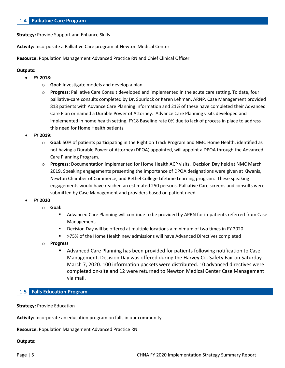# **1.4 Palliative Care Program**

**Strategy:** Provide Support and Enhance Skills

**Activity:** Incorporate a Palliative Care program at Newton Medical Center

**Resource:** Population Management Advanced Practice RN and Chief Clinical Officer

#### **Outputs:**

- **FY 2018:**
	- o **Goal:** Investigate models and develop a plan.
	- o **Progress:** Palliative Care Consult developed and implemented in the acute care setting. To date, four palliative-care consults completed by Dr. Spurlock or Karen Lehman, ARNP. Case Management provided 813 patients with Advance Care Planning information and 21% of these have completed their Advanced Care Plan or named a Durable Power of Attorney. Advance Care Planning visits developed and implemented in home health setting. FY18 Baseline rate 0% due to lack of process in place to address this need for Home Health patients.
- **FY 2019:**
	- o **Goal:** 50% of patients participating in the Right on Track Program and NMC Home Health, identified as not having a Durable Power of Attorney (DPOA) appointed, will appoint a DPOA through the Advanced Care Planning Program.
	- o **Progress:** Documentation implemented for Home Health ACP visits. Decision Day held at NMC March 2019. Speaking engagements presenting the importance of DPOA designations were given at Kiwanis, Newton Chamber of Commerce, and Bethel College Lifetime Learning program. These speaking engagements would have reached an estimated 250 persons. Palliative Care screens and consults were submitted by Case Management and providers based on patient need.
- **FY 2020**
	- o **Goal:** 
		- Advanced Care Planning will continue to be provided by APRN for in-patients referred from Case Management.
		- Decision Day will be offered at multiple locations a minimum of two times in FY 2020
		- >75% of the Home Health new admissions will have Advanced Directives completed
	- o **Progress**
		- Advanced Care Planning has been provided for patients following notification to Case Management. Decision Day was offered during the Harvey Co. Safety Fair on Saturday March 7, 2020. 100 information packets were distributed. 10 advanced directives were completed on-site and 12 were returned to Newton Medical Center Case Management via mail.

# **1.5 Falls Education Program**

**Strategy:** Provide Education

**Activity:** Incorporate an education program on falls in our community

**Resource:** Population Management Advanced Practice RN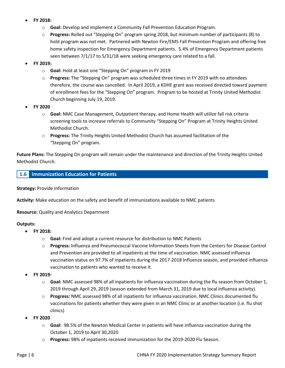- **FY 2018:**
	- o **Goal:** Develop and implement a Community Fall Prevention Education Program.
	- o **Progress:** Rolled out "Stepping On" program spring 2018, but minimum number of participants (8) to hold program was not met. Partnered with Newton Fire/EMS Fall Prevention Program and offering free home safety inspection for Emergency Department patients. 5.4% of Emergency Department patients seen between 7/1/17 to 5/31/18 were seeking emergency care related to a fall.
- **FY 2019:**
	- o **Goal:** Hold at least one "Stepping On" program in FY 2019
	- o **Progress:** The "Stepping On" program was scheduled three times in FY 2019 with no attendees therefore, the course was cancelled. In April 2019, a KDHE grant was received directed toward payment of enrollment fees for the "Stepping On" program. Program to be hosted at Trinity United Methodist Church beginning July 19, 2019.
- **FY 2020**
	- o **Goal:** NMC Case Management, Outpatient therapy, and Home Health will utilize fall risk criteria screening tools to increase referrals to Community "Stepping On" Program at Trinity Heights United Methodist Church.
	- o **Progress:** The Trinity Heights United Methodist Church has assumed facilitation of the "Stepping On" program.

**Future Plans:** The Stepping On program will remain under the maintenance and direction of the Trinity Heights United Methodist Church.

#### **1.6 Immunization Education for Patients**

**Strategy:** Provide Information

**Activity:** Make education on the safety and benefit of immunizations available to NMC patients

**Resource:** Quality and Analytics Department

- **FY 2018:**
	- o **Goal:** Find and adopt a current resource for distribution to NMC Patients
	- o **Progress:** Influenza and Pneumococcal Vaccine Information Sheets from the Centers for Disease Control and Prevention are provided to all inpatients at the time of vaccination. NMC assessed influenza vaccination status on 97.7% of inpatients during the 2017-2018 Influenza season, and provided influenza vaccination to patients who wanted to receive it.
- **FY 2019:**
	- o **Goal:** NMC assessed 98% of all inpatients for influenza vaccination during the flu season from October 1, 2019 through April 29, 2019 (season extended from March 31, 2019 due to local influenza activity).
	- o **Progress:** NMC assessed 98% of all inpatients for influenza vaccination. NMC Clinics documented flu vaccinations for patients whether they were given in an NMC Clinic or at another location (i.e. flu shot clinics)
- **FY 2020**
	- o **Goal:** 98.5% of the Newton Medical Center in patients will have influenza vaccination during the October 1, 2019 to April 30,2020
	- o **Progress:** 98% of inpatients received immunization for the 2019-2020 Flu Season.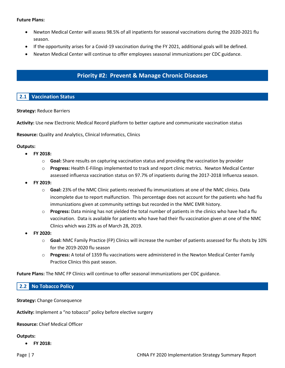#### **Future Plans:**

- Newton Medical Center will assess 98.5% of all inpatients for seasonal vaccinations during the 2020-2021 flu season.
- If the opportunity arises for a Covid-19 vaccination during the FY 2021, additional goals will be defined.
- Newton Medical Center will continue to offer employees seasonal immunizations per CDC guidance.

# **Priority #2: Prevent & Manage Chronic Diseases**

# **2.1 Vaccination Status**

#### **Strategy:** Reduce Barriers

**Activity:** Use new Electronic Medical Record platform to better capture and communicate vaccination status

**Resource:** Quality and Analytics, Clinical Informatics, Clinics

#### **Outputs:**

- **FY 2018:**
	- o **Goal:** Share results on capturing vaccination status and providing the vaccination by provider
	- o **Progress:** Health E-Filings implemented to track and report clinic metrics. Newton Medical Center assessed influenza vaccination status on 97.7% of inpatients during the 2017-2018 Influenza season.
- **FY 2019:**
	- o **Goal:** 23% of the NMC Clinic patients received flu immunizations at one of the NMC clinics. Data incomplete due to report malfunction. This percentage does not account for the patients who had flu immunizations given at community settings but recorded in the NMC EMR history.
	- o **Progress:** Data mining has not yielded the total number of patients in the clinics who have had a flu vaccination. Data is available for patients who have had their flu vaccination given at one of the NMC Clinics which was 23% as of March 28, 2019.
- **FY 2020:**
	- o **Goal:** NMC Family Practice (FP) Clinics will increase the number of patients assessed for flu shots by 10% for the 2019-2020 flu season
	- o **Progress:** A total of 1359 flu vaccinations were administered in the Newton Medical Center Family Practice Clinics this past season.

**Future Plans:** The NMC FP Clinics will continue to offer seasonal immunizations per CDC guidance.

#### **2.2 No Tobacco Policy**

#### **Strategy:** Change Consequence

**Activity:** Implement a "no tobacco" policy before elective surgery

**Resource:** Chief Medical Officer

#### **Outputs:**

• **FY 2018:**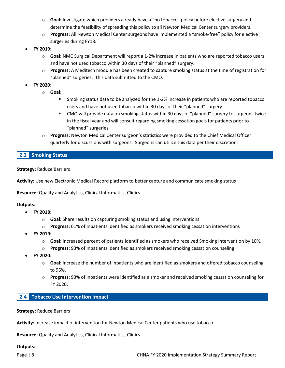- o **Goal:** Investigate which providers already have a "no tobacco" policy before elective surgery and determine the feasibility of spreading this policy to all Newton Medical Center surgery providers.
- o **Progress:** All Newton Medical Center surgeons have implemented a "smoke-free" policy for elective surgeries during FY18.
- **FY 2019:**
	- o **Goal:** NMC Surgical Department will report a 1-2% increase in patients who are reported tobacco users and have not used tobacco within 30 days of their "planned" surgery.
	- o **Progress:** A Meditech module has been created to capture smoking status at the time of registration for "planned" surgeries. This data submitted to the CMO.
- **FY 2020:**
	- o **Goal:** 
		- Smoking status data to be analyzed for the 1-2% increase in patients who are reported tobacco users and have not used tobacco within 30 days of their "planned" surgery.
		- CMO will provide data on smoking status within 30 days of "planned" surgery to surgeons twice in the fiscal year and will consult regarding smoking cessation goals for patients prior to "planned" surgeries
	- o **Progress:** Newton Medical Center surgeon's statistics were provided to the Chief Medical Officer quarterly for discussions with surgeons. Surgeons can utilize this data per their discretion.

# **2.3 Smoking Status**

**Strategy:** Reduce Barriers

**Activity:** Use new Electronic Medical Record platform to better capture and communicate smoking status

**Resource:** Quality and Analytics, Clinical Informatics, Clinics

#### **Outputs:**

- **FY 2018:**
	- o **Goal:** Share results on capturing smoking status and using interventions
	- o **Progress:** 61% of Inpatients identified as smokers received smoking cessation interventions
- **FY 2019:**
	- o **Goal:** Increased percent of patients identified as smokers who received Smoking Intervention by 10%.
	- o **Progress:** 93% of Inpatients identified as smokers received smoking cessation counseling
- **FY 2020:**
	- o **Goal:** Increase the number of inpatients who are identified as smokers and offered tobacco counseling to 95%.
	- o **Progress:** 93% of inpatients were identified as a smoker and received smoking cessation counseling for FY 2020.

# **2.4 Tobacco Use Intervention Impact**

**Strategy:** Reduce Barriers

**Activity:** Increase impact of intervention for Newton Medical Center patients who use tobacco

**Resource:** Quality and Analytics, Clinical Informatics, Clinics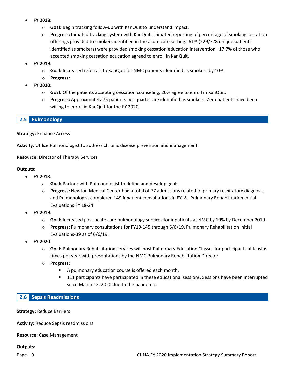- **FY 2018:**
	- o **Goal:** Begin tracking follow-up with KanQuit to understand impact.
	- o **Progress:** Initiated tracking system with KanQuit. Initiated reporting of percentage of smoking cessation offerings provided to smokers identified in the acute care setting. 61% (229/378 unique patients identified as smokers) were provided smoking cessation education intervention. 17.7% of those who accepted smoking cessation education agreed to enroll in KanQuit.
- **FY 2019:**
	- o **Goal:** Increased referrals to KanQuit for NMC patients identified as smokers by 10%.
	- o **Progress:**
- **FY 2020:**
	- o **Goal:** Of the patients accepting cessation counseling, 20% agree to enroll in KanQuit.
	- o **Progress:** Approximately 75 patients per quarter are identified as smokers. Zero patients have been willing to enroll in KanQuit for the FY 2020.

# **2.5 Pulmonology**

**Strategy:** Enhance Access

**Activity:** Utilize Pulmonologist to address chronic disease prevention and management

**Resource:** Director of Therapy Services

#### **Outputs:**

- **FY 2018:**
	- o **Goal:** Partner with Pulmonologist to define and develop goals
	- o **Progress:** Newton Medical Center had a total of 77 admissions related to primary respiratory diagnosis, and Pulmonologist completed 149 inpatient consultations in FY18. Pulmonary Rehabilitation Initial Evaluations FY 18-24.
- **FY 2019:**
	- o **Goal:** Increased post-acute care pulmonology services for inpatients at NMC by 10% by December 2019.
	- o **Progress:** Pulmonary consultations for FY19-145 through 6/6/19. Pulmonary Rehabilitation Initial Evaluations-39 as of 6/6/19.
- **FY 2020** 
	- o **Goal:** Pulmonary Rehabilitation services will host Pulmonary Education Classes for participants at least 6 times per year with presentations by the NMC Pulmonary Rehabilitation Director
	- o **Progress:**
		- A pulmonary education course is offered each month.
		- **111** participants have participated in these educational sessions. Sessions have been interrupted since March 12, 2020 due to the pandemic.

#### **2.6 Sepsis Readmissions**

**Strategy:** Reduce Barriers

**Activity:** Reduce Sepsis readmissions

**Resource:** Case Management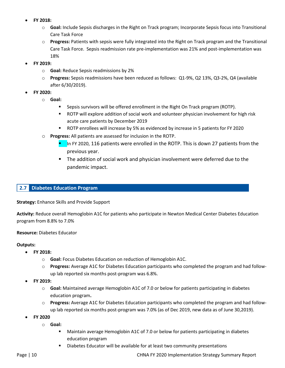- **FY 2018:**
	- o **Goal:** Include Sepsis discharges in the Right on Track program; Incorporate Sepsis focus into Transitional Care Task Force
	- o **Progress:** Patients with sepsis were fully integrated into the Right on Track program and the Transitional Care Task Force. Sepsis readmission rate pre-implementation was 21% and post-implementation was 18%
- **FY 2019:**
	- o **Goal:** Reduce Sepsis readmissions by 2%
	- o **Progress:** Sepsis readmissions have been reduced as follows: Q1-9%, Q2 13%, Q3-2%, Q4 (available after 6/30/2019).
- **FY 2020:**
	- o **Goal:** 
		- **Sepsis survivors will be offered enrollment in the Right On Track program (ROTP).**
		- ROTP will explore addition of social work and volunteer physician involvement for high risk acute care patients by December 2019
		- ROTP enrollees will increase by 5% as evidenced by increase in 5 patients for FY 2020
	- o **Progress:** All patients are assessed for inclusion in the ROTP.
		- In FY 2020, 116 patients were enrolled in the ROTP. This is down 27 patients from the previous year.
		- The addition of social work and physician involvement were deferred due to the pandemic impact.

#### **2.7 Diabetes Education Program**

**Strategy:** Enhance Skills and Provide Support

**Activity:** Reduce overall Hemoglobin A1C for patients who participate in Newton Medical Center Diabetes Education program from 8.8% to 7.0%

**Resource:** Diabetes Educator

#### **Outputs:**

- **FY 2018:**
	- o **Goal:** Focus Diabetes Education on reduction of Hemoglobin A1C.
	- o **Progress:** Average A1C for Diabetes Education participants who completed the program and had followup lab reported six months post-program was 6.8%.
- **FY 2019:**
	- o **Goal:** Maintained average Hemoglobin A1C of 7.0 or below for patients participating in diabetes education program**.**
	- o **Progress:** Average A1C for Diabetes Education participants who completed the program and had followup lab reported six months post-program was 7.0% (as of Dec 2019, new data as of June 30,2019).
- **FY 2020**
	- o **Goal:** 
		- Maintain average Hemoglobin A1C of 7.0 or below for patients participating in diabetes education program
		- **Diabetes Educator will be available for at least two community presentations**

Page | 10 **Page | 10** CHNA FY 2020 Implementation Strategy Summary Report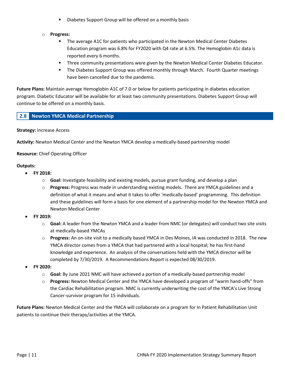- **Diabetes Support Group will be offered on a monthly basis**
- o **Progress:**
	- The average A1C for patients who participated in the Newton Medical Center Diabetes Education program was 6.8% for FY2020 with Q4 rate at 6.5%. The Hemoglobin A1c data is reported every 6 months.
	- **Three community presentations were given by the Newton Medical Center Diabetes Educator.**
	- The Diabetes Support Group was offered monthly through March. Fourth Quarter meetings have been cancelled due to the pandemic.

**Future Plans:** Maintain average Hemoglobin A1C of 7.0 or below for patients participating in diabetes education program. Diabetic Educator will be available for at least two community presentations. Diabetes Support Group will continue to be offered on a monthly basis.

# **2.8 Newton YMCA Medical Partnership**

#### **Strategy:** Increase Access

**Activity:** Newton Medical Center and the Newton YMCA develop a medically-based partnership model

**Resource:** Chief Operating Officer

#### **Outputs:**

- **FY 2018:**
	- o **Goal:** Investigate feasibility and existing models, pursue grant funding, and develop a plan
	- o **Progress:** Progress was made in understanding existing models. There are YMCA guidelines and a definition of what it means and what it takes to offer 'medically-based' programming. This definition and these guidelines will form a basis for one element of a partnership model for the Newton YMCA and Newton Medical Center
- **FY 2019:**
	- o **Goal:** A leader from the Newton YMCA and a leader from NMC (or delegates) will conduct two site visits at medically-based YMCAs
	- o **Progress:** An on-site visit to a medically based YMCA in Des Moines, IA was conducted in 2018. The new YMCA director comes from a YMCA that had partnered with a local hospital; he has first-hand knowledge and experience. An analysis of the conversations held with the YMCA director will be completed by 7/30/2019. A Recommendations Report is expected 08/30/2019.
- **FY 2020:**
	- o **Goal:** By June 2021 NMC will have achieved a portion of a medically-based partnership model
	- o **Progress:** Newton Medical Center and the YMCA have developed a program of "warm hand-offs" from the Cardiac Rehabilitation program. NMC is currently underwriting the cost of the YMCA's Live Strong Cancer-survivor program for 15 individuals.

**Future Plans:** Newton Medical Center and the YMCA will collaborate on a program for In Patient Rehabilitation Unit patients to continue their therapy/activities at the YMCA.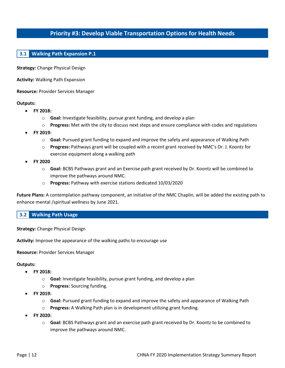# **Priority #3: Develop Viable Transportation Options for Health Needs**

# **3.1 Walking Path Expansion P.1**

**Strategy:** Change Physical Design

**Activity:** Walking Path Expansion

**Resource:** Provider Services Manager

#### **Outputs:**

- **FY 2018:**
	- o **Goal:** Investigate feasibility, pursue grant funding, and develop a plan
	- o **Progress:** Met with the city to discuss next steps and ensure compliance with codes and regulations
- **FY 2019:**
	- o **Goal:** Pursued grant funding to expand and improve the safety and appearance of Walking Path
	- o **Progress:** Pathways grant will be coupled with a recent grant received by NMC's Dr. J. Koontz for exercise equipment along a walking path
- **FY 2020**
	- o **Goal:** BCBS Pathways grant and an Exercise path grant received by Dr. Koontz will be combined to improve the pathways around NMC.
	- o **Progress:** Pathway with exercise stations dedicated 10/03/2020

**Future Plans:** A contemplation pathway component, an initiative of the NMC Chaplin, will be added the existing path to enhance mental /spiritual wellness by June 2021.

#### **3.2 Walking Path Usage**

**Strategy:** Change Physical Design

**Activity:** Improve the appearance of the walking paths to encourage use

#### **Resource:** Provider Services Manager

- **FY 2018:**
	- o **Goal:** Investigate feasibility, pursue grant funding, and develop a plan
	- o **Progress:** Sourcing funding.
- **FY 2019:**
	- o **Goal:** Pursued grant funding to expand and improve the safety and appearance of Walking Path
	- o **Progress:** A Walking Path plan is in development utilizing grant funding.
- **FY 2020:**
	- o **Goal:** BCBS Pathways grant and an exercise path grant received by Dr. Koontz to be combined to improve the pathways around NMC.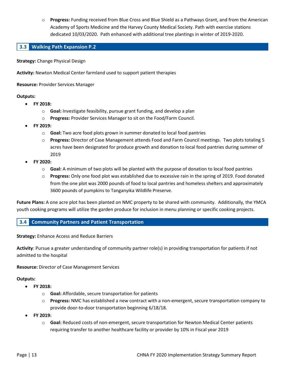o **Progress:** Funding received from Blue Cross and Blue Shield as a Pathways Grant, and from the American Academy of Sports Medicine and the Harvey County Medical Society. Path with exercise stations dedicated 10/03/2020. Path enhanced with additional tree plantings in winter of 2019-2020.

# **3.3 Walking Path Expansion P.2**

**Strategy:** Change Physical Design

**Activity:** Newton Medical Center farmland used to support patient therapies

**Resource:** Provider Services Manager

#### **Outputs:**

- **FY 2018:**
	- o **Goal:** Investigate feasibility, pursue grant funding, and develop a plan
	- o **Progress:** Provider Services Manager to sit on the Food/Farm Council.
- **FY 2019:**
	- o **Goal:** Two acre food plots grown in summer donated to local food pantries
	- o **Progress:** Director of Case Management attends Food and Farm Council meetings. Two plots totaling 5 acres have been designated for produce growth and donation to local food pantries during summer of 2019
- **FY 2020:**
	- o **Goal:** A minimum of two plots will be planted with the purpose of donation to local food pantries
	- o **Progress:** Only one food plot was established due to excessive rain in the spring of 2019. Food donated from the one plot was 2000 pounds of food to local pantries and homeless shelters and approximately 3600 pounds of pumpkins to Tanganyika Wildlife Preserve.

**Future Plans:** A one acre plot has been planted on NMC property to be shared with community. Additionally, the YMCA youth cooking programs will utilize the garden produce for inclusion in menu planning or specific cooking projects.

#### **3.4 Community Partners and Patient Transportation**

**Strategy:** Enhance Access and Reduce Barriers

**Activity**: Pursue a greater understanding of community partner role(s) in providing transportation for patients if not admitted to the hospital

**Resource:** Director of Case Management Services

- **FY 2018:**
	- o **Goal:** Affordable, secure transportation for patients
	- o **Progress:** NMC has established a new contract with a non-emergent, secure transportation company to provide door-to-door transportation beginning 6/18/18.
- **FY 2019:**
	- o **Goal:** Reduced costs of non-emergent, secure transportation for Newton Medical Center patients requiring transfer to another healthcare facility or provider by 10% in Fiscal year 2019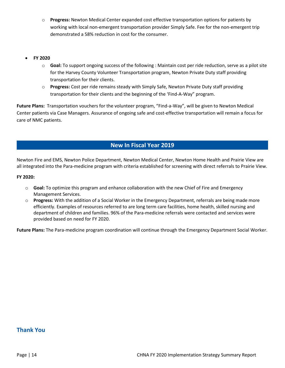- o **Progress:** Newton Medical Center expanded cost effective transportation options for patients by working with local non-emergent transportation provider Simply Safe. Fee for the non-emergent trip demonstrated a 58% reduction in cost for the consumer.
- **FY 2020**
	- o **Goal:** To support ongoing success of the following : Maintain cost per ride reduction, serve as a pilot site for the Harvey County Volunteer Transportation program, Newton Private Duty staff providing transportation for their clients.
	- o **Progress:** Cost per ride remains steady with Simply Safe, Newton Private Duty staff providing transportation for their clients and the beginning of the 'Find-A-Way" program.

**Future Plans:** Transportation vouchers for the volunteer program, "Find-a-Way", will be given to Newton Medical Center patients via Case Managers. Assurance of ongoing safe and cost-effective transportation will remain a focus for care of NMC patients.

# **New In Fiscal Year 2019**

Newton Fire and EMS, Newton Police Department, Newton Medical Center, Newton Home Health and Prairie View are all integrated into the Para-medicine program with criteria established for screening with direct referrals to Prairie View.

#### **FY 2020:**

- o **Goal:** To optimize this program and enhance collaboration with the new Chief of Fire and Emergency Management Services.
- o **Progress:** With the addition of a Social Worker in the Emergency Department, referrals are being made more efficiently. Examples of resources referred to are long term care facilities, home health, skilled nursing and department of children and families. 96% of the Para-medicine referrals were contacted and services were provided based on need for FY 2020.

**Future Plans:** The Para-medicine program coordination will continue through the Emergency Department Social Worker.

# **Thank You**